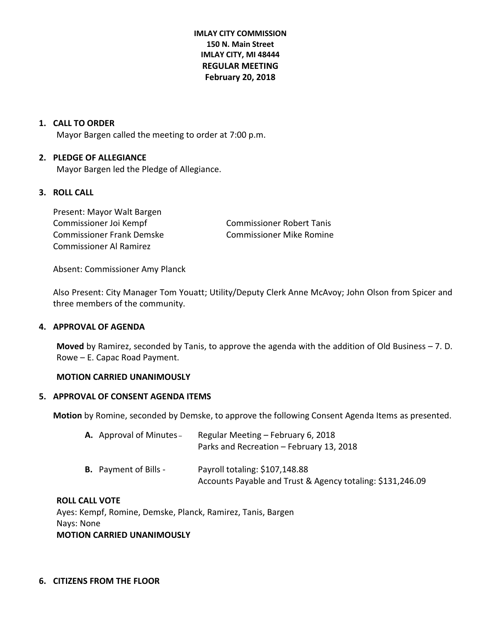**IMLAY CITY COMMISSION 150 N. Main Street IMLAY CITY, MI 48444 REGULAR MEETING February 20, 2018**

#### **1. CALL TO ORDER**

Mayor Bargen called the meeting to order at 7:00 p.m.

# **2. PLEDGE OF ALLEGIANCE**

Mayor Bargen led the Pledge of Allegiance.

# **3. ROLL CALL**

Present: Mayor Walt Bargen Commissioner Joi Kempf Commissioner Robert Tanis Commissioner Frank Demske Commissioner Mike Romine Commissioner Al Ramirez

Absent: Commissioner Amy Planck

Also Present: City Manager Tom Youatt; Utility/Deputy Clerk Anne McAvoy; John Olson from Spicer and three members of the community.

#### **4. APPROVAL OF AGENDA**

**Moved** by Ramirez, seconded by Tanis, to approve the agenda with the addition of Old Business – 7. D. Rowe – E. Capac Road Payment.

#### **MOTION CARRIED UNANIMOUSLY**

#### **5. APPROVAL OF CONSENT AGENDA ITEMS**

**Motion** by Romine, seconded by Demske, to approve the following Consent Agenda Items as presented.

| <b>A.</b> Approval of Minutes – | Regular Meeting - February 6, 2018<br>Parks and Recreation - February 13, 2018               |
|---------------------------------|----------------------------------------------------------------------------------------------|
| <b>B.</b> Payment of Bills -    | Payroll totaling: \$107,148.88<br>Accounts Payable and Trust & Agency totaling: \$131,246.09 |

#### **ROLL CALL VOTE**

Ayes: Kempf, Romine, Demske, Planck, Ramirez, Tanis, Bargen Nays: None **MOTION CARRIED UNANIMOUSLY**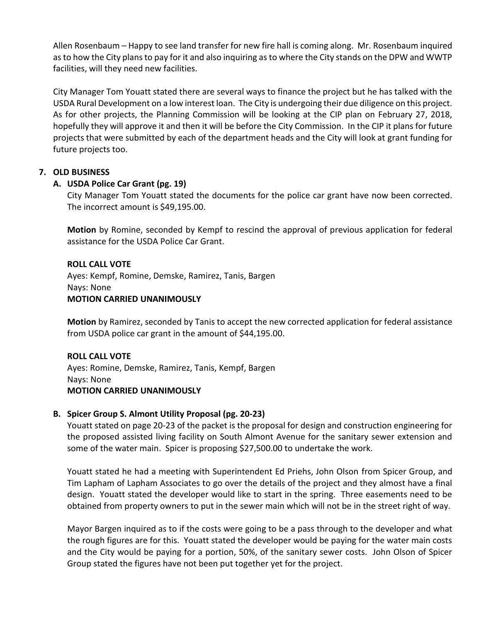Allen Rosenbaum – Happy to see land transfer for new fire hall is coming along. Mr. Rosenbaum inquired as to how the City plans to pay for it and also inquiring as to where the City stands on the DPW and WWTP facilities, will they need new facilities.

City Manager Tom Youatt stated there are several ways to finance the project but he has talked with the USDA Rural Development on a low interest loan. The City is undergoing their due diligence on this project. As for other projects, the Planning Commission will be looking at the CIP plan on February 27, 2018, hopefully they will approve it and then it will be before the City Commission. In the CIP it plans for future projects that were submitted by each of the department heads and the City will look at grant funding for future projects too.

# **7. OLD BUSINESS**

# **A. USDA Police Car Grant (pg. 19)**

City Manager Tom Youatt stated the documents for the police car grant have now been corrected. The incorrect amount is \$49,195.00.

**Motion** by Romine, seconded by Kempf to rescind the approval of previous application for federal assistance for the USDA Police Car Grant.

# **ROLL CALL VOTE**

Ayes: Kempf, Romine, Demske, Ramirez, Tanis, Bargen Nays: None **MOTION CARRIED UNANIMOUSLY**

**Motion** by Ramirez, seconded by Tanis to accept the new corrected application for federal assistance from USDA police car grant in the amount of \$44,195.00.

# **ROLL CALL VOTE**

Ayes: Romine, Demske, Ramirez, Tanis, Kempf, Bargen Nays: None **MOTION CARRIED UNANIMOUSLY**

# **B. Spicer Group S. Almont Utility Proposal (pg. 20-23)**

Youatt stated on page 20-23 of the packet is the proposal for design and construction engineering for the proposed assisted living facility on South Almont Avenue for the sanitary sewer extension and some of the water main. Spicer is proposing \$27,500.00 to undertake the work.

Youatt stated he had a meeting with Superintendent Ed Priehs, John Olson from Spicer Group, and Tim Lapham of Lapham Associates to go over the details of the project and they almost have a final design. Youatt stated the developer would like to start in the spring. Three easements need to be obtained from property owners to put in the sewer main which will not be in the street right of way.

Mayor Bargen inquired as to if the costs were going to be a pass through to the developer and what the rough figures are for this. Youatt stated the developer would be paying for the water main costs and the City would be paying for a portion, 50%, of the sanitary sewer costs. John Olson of Spicer Group stated the figures have not been put together yet for the project.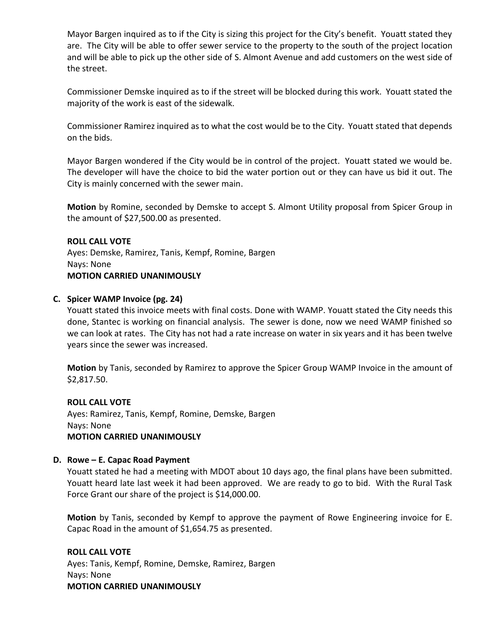Mayor Bargen inquired as to if the City is sizing this project for the City's benefit. Youatt stated they are. The City will be able to offer sewer service to the property to the south of the project location and will be able to pick up the other side of S. Almont Avenue and add customers on the west side of the street.

Commissioner Demske inquired as to if the street will be blocked during this work. Youatt stated the majority of the work is east of the sidewalk.

Commissioner Ramirez inquired as to what the cost would be to the City. Youatt stated that depends on the bids.

Mayor Bargen wondered if the City would be in control of the project. Youatt stated we would be. The developer will have the choice to bid the water portion out or they can have us bid it out. The City is mainly concerned with the sewer main.

**Motion** by Romine, seconded by Demske to accept S. Almont Utility proposal from Spicer Group in the amount of \$27,500.00 as presented.

**ROLL CALL VOTE** Ayes: Demske, Ramirez, Tanis, Kempf, Romine, Bargen Nays: None **MOTION CARRIED UNANIMOUSLY**

# **C. Spicer WAMP Invoice (pg. 24)**

Youatt stated this invoice meets with final costs. Done with WAMP. Youatt stated the City needs this done, Stantec is working on financial analysis. The sewer is done, now we need WAMP finished so we can look at rates. The City has not had a rate increase on water in six years and it has been twelve years since the sewer was increased.

**Motion** by Tanis, seconded by Ramirez to approve the Spicer Group WAMP Invoice in the amount of \$2,817.50.

# **ROLL CALL VOTE**

Ayes: Ramirez, Tanis, Kempf, Romine, Demske, Bargen Nays: None **MOTION CARRIED UNANIMOUSLY**

# **D. Rowe – E. Capac Road Payment**

Youatt stated he had a meeting with MDOT about 10 days ago, the final plans have been submitted. Youatt heard late last week it had been approved. We are ready to go to bid. With the Rural Task Force Grant our share of the project is \$14,000.00.

**Motion** by Tanis, seconded by Kempf to approve the payment of Rowe Engineering invoice for E. Capac Road in the amount of \$1,654.75 as presented.

# **ROLL CALL VOTE**

Ayes: Tanis, Kempf, Romine, Demske, Ramirez, Bargen Nays: None **MOTION CARRIED UNANIMOUSLY**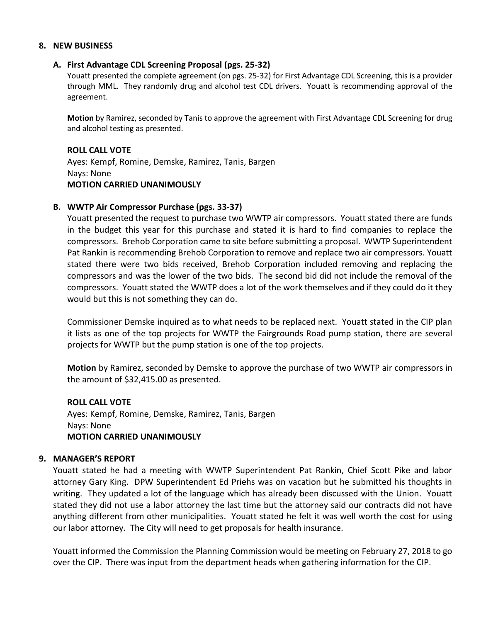#### **8. NEW BUSINESS**

#### **A. First Advantage CDL Screening Proposal (pgs. 25-32)**

Youatt presented the complete agreement (on pgs. 25-32) for First Advantage CDL Screening, this is a provider through MML. They randomly drug and alcohol test CDL drivers. Youatt is recommending approval of the agreement.

**Motion** by Ramirez, seconded by Tanis to approve the agreement with First Advantage CDL Screening for drug and alcohol testing as presented.

#### **ROLL CALL VOTE**

Ayes: Kempf, Romine, Demske, Ramirez, Tanis, Bargen Nays: None **MOTION CARRIED UNANIMOUSLY**

#### **B. WWTP Air Compressor Purchase (pgs. 33-37)**

Youatt presented the request to purchase two WWTP air compressors. Youatt stated there are funds in the budget this year for this purchase and stated it is hard to find companies to replace the compressors. Brehob Corporation came to site before submitting a proposal. WWTP Superintendent Pat Rankin is recommending Brehob Corporation to remove and replace two air compressors. Youatt stated there were two bids received, Brehob Corporation included removing and replacing the compressors and was the lower of the two bids. The second bid did not include the removal of the compressors. Youatt stated the WWTP does a lot of the work themselves and if they could do it they would but this is not something they can do.

Commissioner Demske inquired as to what needs to be replaced next. Youatt stated in the CIP plan it lists as one of the top projects for WWTP the Fairgrounds Road pump station, there are several projects for WWTP but the pump station is one of the top projects.

**Motion** by Ramirez, seconded by Demske to approve the purchase of two WWTP air compressors in the amount of \$32,415.00 as presented.

#### **ROLL CALL VOTE**

Ayes: Kempf, Romine, Demske, Ramirez, Tanis, Bargen Nays: None **MOTION CARRIED UNANIMOUSLY**

#### **9. MANAGER'S REPORT**

Youatt stated he had a meeting with WWTP Superintendent Pat Rankin, Chief Scott Pike and labor attorney Gary King. DPW Superintendent Ed Priehs was on vacation but he submitted his thoughts in writing. They updated a lot of the language which has already been discussed with the Union. Youatt stated they did not use a labor attorney the last time but the attorney said our contracts did not have anything different from other municipalities. Youatt stated he felt it was well worth the cost for using our labor attorney. The City will need to get proposals for health insurance.

Youatt informed the Commission the Planning Commission would be meeting on February 27, 2018 to go over the CIP. There was input from the department heads when gathering information for the CIP.